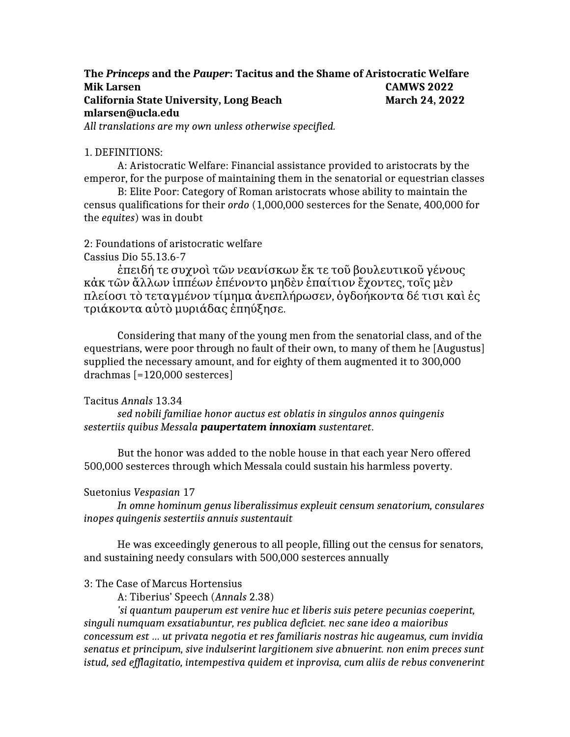# **The** *Princeps* **and the** *Pauper***: Tacitus and the Shame of Aristocratic Welfare Mik Larsen CAMWS 2022 California State University, Long Beach March 24, 2022 mlarsen@ucla.edu** *All translations are my own unless otherwise specified.*

### 1. DEFINITIONS:

A: Aristocratic Welfare: Financial assistance provided to aristocrats by the emperor, for the purpose of maintaining them in the senatorial or equestrian classes

B: Elite Poor: Category of Roman aristocrats whose ability to maintain the census qualifications for their *ordo* (1,000,000 sesterces for the Senate, 400,000 for the *equites*) was in doubt

#### 2: Foundations of aristocratic welfare Cassius Dio 55.13.6-7

ἐπειδή τε συχνοὶ τῶν νεανίσκων ἔκ τε τοῦ βουλευτικοῦ γένους κἀκ τῶν ἄλλων ἱππέων ἐπένοντο μηδὲν ἐπαίτιον ἔχοντες τοῖς μὲν , πλείοσι τὸ τεταγμένον τίμημα ἀνεπλήρωσεν, ὀγδοήκοντα δέ τισι καὶ ἐς τριάκοντα αὐτὸ μυριάδας ἐπηύξησε .

Considering that many of the young men from the senatorial class, and of the equestrians, were poor through no fault of their own, to many of them he [Augustus] supplied the necessary amount, and for eighty of them augmented it to 300,000 drachmas [=120,000 sesterces]

## Tacitus *Annals* 13.34

*sed nobili familiae honor auctus est oblatis in singulos annos quingenis sestertiis quibus Messala paupertatem innoxiam sustentaret*.

But the honor was added to the noble house in that each year Nero offered 500,000 sesterces through which Messala could sustain his harmless poverty.

## Suetonius *Vespasian* 17

*In omne hominum genus liberalissimus expleuit censum senatorium, consulares inopes quingenis sestertiis annuis sustentauit*

He was exceedingly generous to all people, filling out the census for senators, and sustaining needy consulars with 500,000 sesterces annually

## 3: The Case of Marcus Hortensius

A: Tiberius' Speech (*Annals* 2.38)

*'si quantum pauperum est venire huc et liberis suis petere pecunias coeperint, singuli numquam exsatiabuntur, res publica deficiet. nec sane ideo a maioribus concessum est … ut privata negotia et res familiaris nostras hic augeamus, cum invidia senatus et principum, sive indulserint largitionem sive abnuerint. non enim preces sunt istud, sed efflagitatio, intempestiva quidem et inprovisa, cum aliis de rebus convenerint*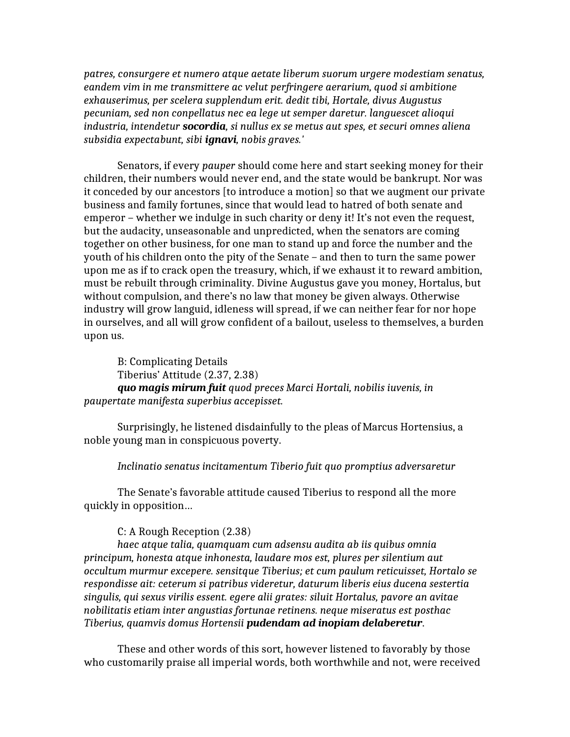*patres, consurgere et numero atque aetate liberum suorum urgere modestiam senatus, eandem vim in me transmittere ac velut perfringere aerarium, quod si ambitione exhauserimus, per scelera supplendum erit. dedit tibi, Hortale, divus Augustus pecuniam, sed non conpellatus nec ea lege ut semper daretur. languescet alioqui industria, intendetur socordia, si nullus ex se metus aut spes, et securi omnes aliena subsidia expectabunt, sibi ignavi, nobis graves.'*

Senators, if every *pauper* should come here and start seeking money for their children, their numbers would never end, and the state would be bankrupt. Nor was it conceded by our ancestors [to introduce a motion] so that we augment our private business and family fortunes, since that would lead to hatred of both senate and emperor – whether we indulge in such charity or deny it! It's not even the request, but the audacity, unseasonable and unpredicted, when the senators are coming together on other business, for one man to stand up and force the number and the youth of his children onto the pity of the Senate – and then to turn the same power upon me as if to crack open the treasury, which, if we exhaust it to reward ambition, must be rebuilt through criminality. Divine Augustus gave you money, Hortalus, but without compulsion, and there's no law that money be given always. Otherwise industry will grow languid, idleness will spread, if we can neither fear for nor hope in ourselves, and all will grow confident of a bailout, useless to themselves, a burden upon us.

B: Complicating Details Tiberius' Attitude (2.37, 2.38) *quo magis mirum fuit quod preces Marci Hortali, nobilis iuvenis, in paupertate manifesta superbius accepisset.*

Surprisingly, he listened disdainfully to the pleas of Marcus Hortensius, a noble young man in conspicuous poverty.

## *Inclinatio senatus incitamentum Tiberio fuit quo promptius adversaretur*

The Senate's favorable attitude caused Tiberius to respond all the more quickly in opposition…

#### C: A Rough Reception (2.38)

*haec atque talia, quamquam cum adsensu audita ab iis quibus omnia principum, honesta atque inhonesta, laudare mos est, plures per silentium aut occultum murmur excepere. sensitque Tiberius; et cum paulum reticuisset, Hortalo se respondisse ait: ceterum si patribus videretur, daturum liberis eius ducena sestertia singulis, qui sexus virilis essent. egere alii grates: siluit Hortalus, pavore an avitae nobilitatis etiam inter angustias fortunae retinens. neque miseratus est posthac Tiberius, quamvis domus Hortensii pudendam ad inopiam delaberetur*.

These and other words of this sort, however listened to favorably by those who customarily praise all imperial words, both worthwhile and not, were received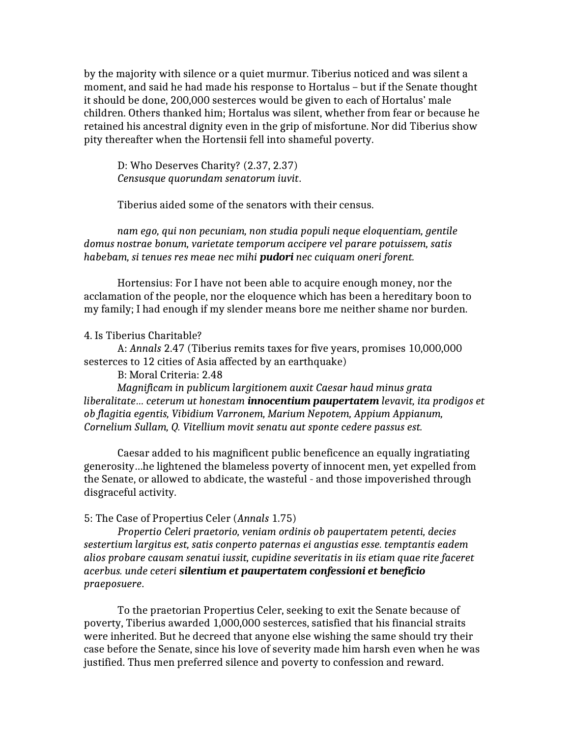by the majority with silence or a quiet murmur. Tiberius noticed and was silent a moment, and said he had made his response to Hortalus – but if the Senate thought it should be done, 200,000 sesterces would be given to each of Hortalus' male children. Others thanked him; Hortalus was silent, whether from fear or because he retained his ancestral dignity even in the grip of misfortune. Nor did Tiberius show pity thereafter when the Hortensii fell into shameful poverty.

D: Who Deserves Charity? (2.37, 2.37) *Censusque quorundam senatorum iuvit*.

Tiberius aided some of the senators with their census.

*nam ego, qui non pecuniam, non studia populi neque eloquentiam, gentile domus nostrae bonum, varietate temporum accipere vel parare potuissem, satis habebam, si tenues res meae nec mihi pudori nec cuiquam oneri forent.*

Hortensius: For I have not been able to acquire enough money, nor the acclamation of the people, nor the eloquence which has been a hereditary boon to my family; I had enough if my slender means bore me neither shame nor burden.

## 4. Is Tiberius Charitable?

A: *Annals* 2.47 (Tiberius remits taxes for five years, promises 10,000,000 sesterces to 12 cities of Asia affected by an earthquake)

B: Moral Criteria: 2.48

*Magnificam in publicum largitionem auxit Caesar haud minus grata liberalitate… ceterum ut honestam innocentium paupertatem levavit, ita prodigos et ob flagitia egentis, Vibidium Varronem, Marium Nepotem, Appium Appianum, Cornelium Sullam, Q. Vitellium movit senatu aut sponte cedere passus est.*

Caesar added to his magnificent public beneficence an equally ingratiating generosity…he lightened the blameless poverty of innocent men, yet expelled from the Senate, or allowed to abdicate, the wasteful - and those impoverished through disgraceful activity.

## 5: The Case of Propertius Celer (*Annals* 1.75)

*Propertio Celeri praetorio, veniam ordinis ob paupertatem petenti, decies sestertium largitus est, satis conperto paternas ei angustias esse. temptantis eadem alios probare causam senatui iussit, cupidine severitatis in iis etiam quae rite faceret acerbus. unde ceteri silentium et paupertatem confessioni et beneficio praeposuere*.

To the praetorian Propertius Celer, seeking to exit the Senate because of poverty, Tiberius awarded 1,000,000 sesterces, satisfied that his financial straits were inherited. But he decreed that anyone else wishing the same should try their case before the Senate, since his love of severity made him harsh even when he was justified. Thus men preferred silence and poverty to confession and reward.